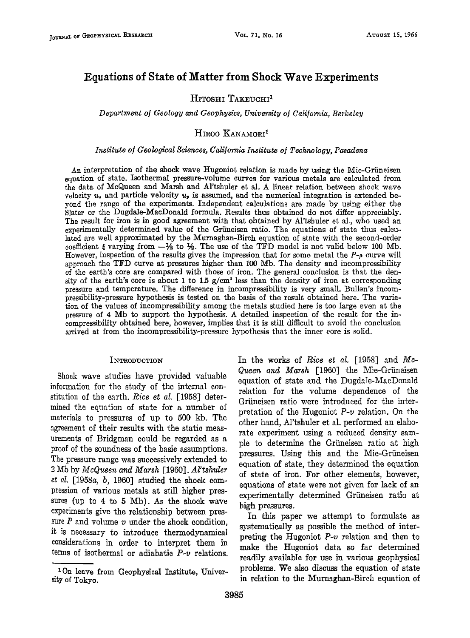# **Equations of State of Matter from Shock Wave Experiments**

## HITOSHI TAKEUCHI<sup>1</sup>

**Department of Geology and Geophysics, University of California, Berkeley** 

## $H$ IROO KANAMORI<sup>1</sup>

### **Institute of Geological Sciences, California Institute of Technology, Pasadena**

An interpretation of the shock wave Hugoniot relation is made by using the Mie-Grüneisen **equation of state. Isothermal pressure-volume curves for various metals are calculated from**  the data of McQueen and Marsh and Al'tshuler et al. A linear relation between shock wave velocity  $u_s$ , and particle velocity  $u_p$  is assumed, and the numerical integration is extended be**yond the range of the experiments. Independent calculations are made by using either the Slater or the Dugdale-MacDonald formula. Results thus obtained do not differ appreciably. The result for iron is in good agreement with that obtained by Al'tshuler et al., who used an experimentally determined value of the Griineisen ratio. The equations of state thus calculated are we!l approximated by the Murnaghan-Birch equation of state with the second-order**  coefficient  $\xi$  varying from  $-\frac{1}{2}$  to  $\frac{1}{2}$ . The use of the TFD model is not valid below 100 Mb. However, inspection of the results gives the impression that for some metal the  $P_{\alpha}$  curve will approach the TFD curve at pressures higher than 100 Mb. The density and incompressibility **of the earth's core are compared with those of iron. The general conclusion is that the den**sity of the earth's core is about 1 to  $1.5$  g/cm<sup>3</sup> less than the density of iron at corresponding **pressure and temperature. The difference in incompressibility is very small. BuIlen's incompressibility-pressure hypothesis is tested on the basis of the result; obtained here. The variation of the values of incompressibility among the metals studied here is too large even at the pressure of 4 Mb to support the hypothesis. A detailed inspection of the result for the in**compressibility obtained here, however, implies that it is still difficult to avoid the conclusion **arrived at from the incompressibility-pressure hypolhesis that the inner core is solid.** 

### **INTRODUCTION**

Shock wave studies have provided valuable information for the study of the internal constitution of the earth. Rice et al. [1958] determined the equation of state for a number of **materials to pressures of up to 500' kb. The agreement of their results with the static measurements of Bridgman could be regarded as a proof of the soundness of the basic assumptions. The pressure range was successively extended to 2 Mb by McQueen and Marsh [1960]. Al'tshuler**  et al. [1958a, b, 1960] studied the shock com**pression of various metals at still higher pressures (up to 4 to 5 Mb). As the shock wave experiments give the relationship between pres**sure  $P$  and volume  $v$  under the shock condition, **it is necessary to introduce thermodynamieal considerations in order to interpret them in terms of isothermal or adiabatic P-v relations.**  **In the works of Rice et al. [1958] and Me-Queen and Marsh [1960] the Mie-Griineisen equation of state and the Dugdale-MacDonald relation for the volume dependence of the**  Grüneisen ratio were introduced for the inter**pretation of the Hugoniot P-v relation. On the**  other hand, Al'tshuler et al. performed an elabo**rate experiment using a reduced density sam**ple to determine the Grüneisen ratio at high pressures. Using this and the Mie-Grüneisen **equation of state, they determined the equation of state of iron. For other elements, however, equations of state were not given for lack of an experimentally determined Griineisen ratio at high pressures.** 

**In this paper we attempt to formulate as systematically as possible the method of interpreting the Hugoniot P-v relation and then to make the Hugoniot data so far determined readily available for use in various geophysical problems. We also discuss the equation of state in relation to the Murnaghan-Birch equation of** 

**<sup>•</sup> On leave from Geophysical Institute, University of Tokyo.**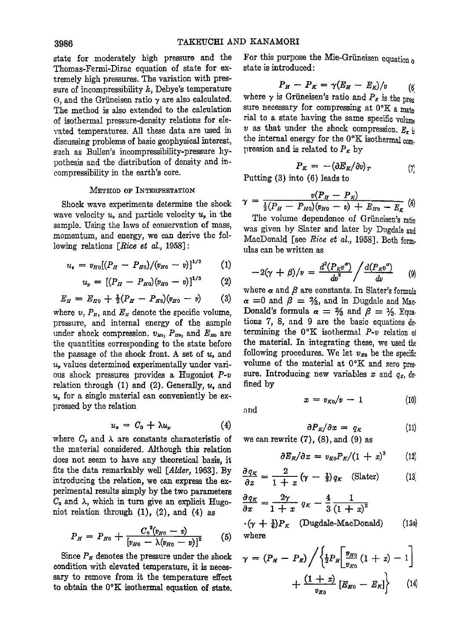**state for moderately high pressure and the Thomas-Fermi-Dirac equation of state for extremely high pressures. The variation with pressure of incompressibility k, Debye's temperature**   $\Theta$ , and the Grüneisen ratio  $\gamma$  are also calculated. **The method is also extended to the calculation of isothermal pressure-density relations for elerated temperatures. All these data are used in discussing problems of basic geophysical interest, such as Bullen's incompressibility-pressure hypothesis and the distribution of density and incompressibility in the earth's core.** 

#### **METHOD OF INTERPHETATION**

**Shock wave experiments determine the shock**  wave velocity  $u<sub>s</sub>$  and particle velocity  $u<sub>p</sub>$  in the **sample. Using the laws of conservation of mass, momentum, and energy, we can derive the fol**lowing relations [Rice et al., 1958]:

$$
u_{\rm r} = v_{H0}[(P_H - P_{H0})/(v_{H0} - v)]^{1/2} \qquad (1)
$$

$$
u_p = [(P_H - P_{H0})(v_{H0} - v)]^{1/2} \qquad (2)
$$

$$
E_H = E_{H0} + \frac{1}{2}(P_H - P_{H0})(v_{H0} - v) \qquad (3)
$$

where  $v, P_{H}$ , and  $E_{H}$  denote the specific volume, **pressure, and internal energy of the sample**  under shock compression.  $v_{H0}$ ,  $P_{H0}$ , and  $E_{H0}$  are **the quantities corresponding to the state before the passage of the shock front. A set of u, and**   $u<sub>n</sub>$  values determined experimentally under various shock pressures provides a Hugoniot P-v relation through  $(1)$  and  $(2)$ . Generally,  $u<sub>r</sub>$  and **% for a single material can conveniently be expressed by the relation** 

$$
u_{\bullet} = C_0 + \lambda u_{\nu} \tag{4}
$$

where  $C_0$  and  $\lambda$  are constants characteristic of **the material considered. Although this relation does not seem to have any theoretical basis, it fits the data remarkably well [Alder, 1963]. By introducing the relation, we can express the experimental results simply by the two parameters**   $C_0$  and  $\lambda$ , which in turn give an explicit Hugo**niot relation through (1), (2), and (4) as** 

$$
P_H = P_{H0} + \frac{C_0^2 (v_{H0} - v)}{[v_{H0} - \lambda (v_{H0} - v)]^2}
$$
 (5)

**Since Pu denotes the pressure under the shock condition with elevated temperature, it is necessary to remove from it the temperature effect**  to obtain the  $0^{\circ}K$  isothermal equation of state.

**For this purpose the Mie-Griineisen equation o state is introduced:** 

$$
P_H-P_K=\gamma(E_H-E_K)/v\qquad (6)
$$

where  $\gamma$  is Grüneisen's ratio and  $P<sub>\kappa</sub>$  is the pres sure necessary for compressing at  $0^{\circ}K$  a mate **rial to a state having the same specific volum•**   $v$  as that under the shock compression.  $E_r$  if the internal energy for the  $0^{\circ}K$  isothermal com. pression and is related to  $P<sub>\kappa</sub>$  by

$$
P_K = -(\partial E_K/\partial v)_T \tag{7}
$$

**Putting (3) into (6) leads to** 

$$
\gamma = \frac{v(P_H - P_K)}{\frac{1}{2}(P_H - P_{H0})(v_{H0} - v) + E_{H0} - E_K}
$$
 (8)

The volume dependence of Grüneisen's ratio **was given by Slater and later by Dugdale and MacDonald [see Rice ei aL, 1958]. Both form. ulas can be written as** 

$$
-2(\gamma + \beta)/v = \frac{d^2(P_{K}v^{\alpha})}{dv^2} / \frac{d(P_{K}v^{\alpha})}{dv}
$$
 (9)

where  $\alpha$  and  $\beta$  are constants. In Slater's formula  $\alpha$  =0 and  $\beta$  =  $\frac{2}{3}$ , and in Dugdale and Mac-**Donald's formula**  $\alpha = \frac{2}{3}$  **and**  $\beta = \frac{1}{3}$ **. Equaticns 7, 8, and 9 are the basic equations determining the 0°K isothermal**  $P-v$  **relation of the material. In integrating these, we used**  following procedures. We let  $v_{x_0}$  be the specific volume of the material at  $0^{\circ}K$  and zero pressure. Introducing new variables x and  $q_x$ , de**fined by** 

 $x = v_{\kappa_0}/v - 1$ 

and

$$
\sum_{i=1}^{n} a_i
$$

 $(10)$ 

$$
\partial P_K / \partial x = q_K \tag{11}
$$

**we can rewrite (7), (8), and (9) as** 

$$
\partial E_K/\partial x = v_{K0} P_K/(1+x)^2 \qquad (12)
$$

$$
\frac{\partial q_{\kappa}}{\partial x} = \frac{2}{1+x} \left( \gamma - \frac{1}{3} \right) q_{\kappa} \quad \text{(Slater)} \tag{13}
$$

$$
\frac{\partial q_K}{\partial x} = \frac{2\gamma}{1+x} q_K - \frac{4}{3} \frac{1}{(1+x)^2}
$$
  
\n $\cdot (\gamma + \frac{1}{6}) P_K$  (Dugdale-MacDonald) (13a)  
\nwhere

$$
\gamma = (P_H - P_R) / \left\{ \frac{1}{2} P_H \left[ \frac{v_{H0}}{v_{K0}} (1 + x) - 1 \right] + \frac{(1 + x)}{v_{K0}} \left[ E_{H0} - E_R \right] \right\}
$$
 (14)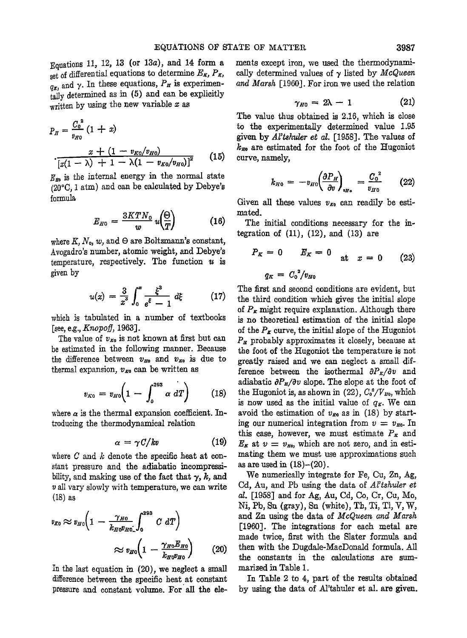**Equations 11, 12, 13 (or 13a), and 14 form a**  set of differential equations to determine  $E_{\mathbf{x}}$ ,  $P_{\mathbf{x}}$ ,  $q_{\boldsymbol{\kappa}}$ , and  $\gamma$ . In these equations,  $P_{\boldsymbol{\kappa}}$  is experimen**tally determined as in (5) and can be explicitly written by using the new variable x as** 

$$
P_H = \frac{C_0^2}{v_{H0}} (1+x)
$$

$$
\frac{x + (1 - v_{K0}/v_{H0})}{[x(1 - \lambda) + 1 - \lambda(1 - v_{K0}/v_{H0})]^2}
$$
(15)

 $E_{\text{E0}}$  is the internal energy in the normal state **(20øG, 1 arm) and can be calculated by Debye's formula** 

$$
E_{H0} = \frac{3KTN_0}{w} u\left(\frac{\Theta}{T}\right) \tag{16}
$$

where  $K, N_0, w$ , and  $\Theta$  are Boltzmann's constant, **Avogadro's number, atomic weight, and Debye's**   $temperature$ , respectively. The function  $u$  is **given by** 

$$
u(x) = \frac{3}{x^3} \int_0^x \frac{\xi^3}{e^{\xi} - 1} d\xi \qquad (17)
$$

**which is tabulated in a number of textbooks**  [see, e.g., *Knopoff*, 1963].

The value of  $v_{\text{xo}}$  is not known at first but can be estimated in the following manner. Because the difference between  $v_{H_0}$  and  $v_{H_0}$  is due to thermal expansion,  $v_{\kappa 0}$  can be written as

$$
v_{K0} = v_{H0} \left( 1 - \int_0^{293} \alpha \, dT \right) \qquad (18)
$$

where  $\alpha$  is the thermal expansion coefficient. Introducing the thermodynamical relation

$$
\alpha = \gamma C/kv \qquad (19)
$$

**where C and k denote the specific heat at constant pressure and the adiabatic incompressi**bility, and making use of the fact that  $\gamma$ , k, and v all vary slowly with temperature, we can write **(18) •s** 

$$
v_{E0} \approx v_{H0} \left( 1 - \frac{\gamma_{H0}}{k_{H0} v_{H0}} \int_0^{293} C \, dT \right) \approx v_{H0} \left( 1 - \frac{\gamma_{H0} E_{H0}}{k_{H0} v_{H0}} \right) \tag{20}
$$

In the last equation in (20), we neglect a small **difference between the specific heat at constant**  pressure and constant volume. For all the ele**ments except iron, we used the thermodynami**cally determined values of  $\gamma$  listed by *McQueen* **and Marsh [1960]. For iron we used the relation** 

$$
\gamma_{H0}=2\lambda-1 \qquad \qquad (21)
$$

**The value thus obtained is 2.16, which is close to the experimentally determined value 1.95 given by Al'tshuler et al. [1958]. The vaIues of kso are estimated for the foot of the Hugoniot curve, namely,** 

$$
k_{H0} = -v_{H0} \left( \frac{\partial P_H}{\partial v} \right)_{v_H} = \frac{C_0^2}{v_{H0}} \qquad (22)
$$

Given all these values  $v_{\pi_0}$  can readily be esti**mated.** 

**The initial conditions necessary for the integration of (11), (12), and (13) are** 

$$
P_K = 0 \t E_K = 0 \t at \t x = 0 \t (23)
$$
  

$$
q_K = C_0^2 / v_{H0}
$$

**The first and second conditions are evident, but the third condition which gives the initial slope**  of  $P<sub>\kappa</sub>$  might require explanation. Although there **is no theoretical estimation of the initial slope**  of the  $P_{\kappa}$  curve, the initial slope of the Hugoniot  $P_{\mu}$  probably approximates it closely, because at **the foot of the Hugoniot the temperature is not greatly raised and we can neglect a small dif**ference between the isothermal  $\partial P_{\kappa}/\partial v$  and adiabatic  $\partial P_{\mu}/\partial v$  slope. The slope at the foot of the Hugoniot is, as shown in  $(22)$ ,  $C_0^3/V_{\text{10}}$ , which is now used as the initial value of  $q<sub>\mathbf{r}</sub>$ . We can avoid the estimation of  $v_{\kappa_0}$  as in (18) by starting our numerical integration from  $v = v_{H_0}$ . In this case, however, we must estimate  $P_{\kappa}$  and  $E_{\kappa}$  at  $v = v_{\kappa_0}$ , which are not zero, and in esti**mating them we must use approximations such as are used in (18)-(20).** 

 $\approx v_{H0} \left( 1 - \frac{\gamma_{H0} E_{H0}}{k_{H0} v_{H0}} \right)$  (20) then with the Dugdale-MacDonald formula. <br>the constants in the calculations are su **We numerically integrate for Pc, Cu, Zn, Ag, Cd, Au, and Pb using the data of Al'tshuler et al. [1958] and for Ag, Au, Cd, Co, Cr, Cu, Mo, Ni, Pb, Sn (gray), Sn (white), Th, Ti, T1, V, W, and Zn using the data of McQueen and Marsh [1960]. The integrations for each metal are made twice, first with the Slater formula and the constants in the calculations are summarized in Table 1.** 

> **In Table 2 to 4, part of the results obtained by using the data of AI'tshuler et al. are given.**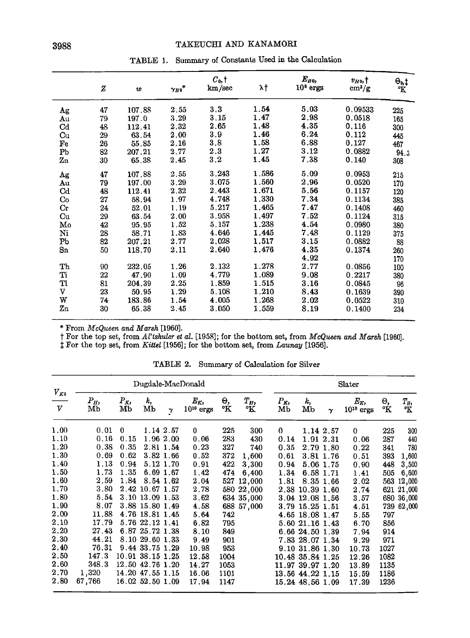# TAKEUCHI AND KANAMORI

| 3988 |  |
|------|--|
|      |  |

| TABLE 1. Summary of Constants Used in the Calculation |  |
|-------------------------------------------------------|--|
|                                                       |  |

|             | z  | w      | $\gamma_{H\text{0}}{}^*$ | $C_0, \dagger$<br>km/sec | λţ    | $E_{H0}$<br>$108$ ergs | $v_{H0}$ , †<br>$\text{cm}^3/\text{g}$ | $\Theta_0$<br>°K |
|-------------|----|--------|--------------------------|--------------------------|-------|------------------------|----------------------------------------|------------------|
| Ag          | 47 | 107.88 | 2.55                     | 3.3                      | 1.54  | 5.03                   | 0.09533                                | 225              |
| Αu          | 79 | 197.0  | 3.29                     | 3.15                     | 1.47  | 2.98                   | 0.0518                                 | 165              |
| $_{\rm Cd}$ | 48 | 112.41 | 2.32                     | 2.65                     | 1.48  | 4.35                   | 0.116                                  | 300              |
| Cu          | 29 | 63.54  | 2.00                     | 3.9                      | 1.46  | 6.24                   | 0.112                                  | 445              |
| Fe          | 26 | 55.85  | 2.16                     | 3.8                      | 1.58  | 6.88                   | 0.127                                  | 467              |
| Pb          | 82 | 207.21 | 2.77                     | 2.3                      | 1.27  | 3.12                   | 0.0882                                 | 94.5             |
| Zn          | 30 | 65.38  | 2.45                     | 3.2                      | 1.45  | 7.38                   | 0.140                                  | 308              |
| Ag          | 47 | 107.88 | 2.55                     | 3.243                    | 1.586 | 5.09                   | 0.0953                                 | 215              |
| Au          | 79 | 197.00 | 3.29                     | 3.075                    | 1.560 | 2.96                   | 0.0520                                 | 170              |
| $_{\rm Cd}$ | 48 | 112.41 | 2.32                     | 2.443                    | 1.671 | 5.56                   | 0.1157                                 | 120              |
| Co          | 27 | 58.94  | 1.97                     | 4.748                    | 1.330 | 7.34                   | 0.1134                                 | 385              |
| $_{\rm Cr}$ | 24 | 52.01  | 1.19                     | 5.217                    | 1.465 | 7.47                   | 0.1408                                 | 460              |
| Cu          | 29 | 63.54  | 2.00                     | 3.958                    | 1.497 | 7.52                   | 0.1124                                 | 315              |
| Mo          | 42 | 95.95  | 1.52                     | 5.157                    | 1.238 | 4.54                   | 0.0980                                 | 380              |
| Ni          | 28 | 58.71  | 1.83                     | 4.646                    | 1.445 | 7.48                   | 0.1129                                 | 375              |
| Pb          | 82 | 207.21 | 2.77                     | 2.028                    | 1.517 | 3.15                   | 0.0882                                 | 88               |
| Sn          | 50 | 118.70 | 2.11                     | 2.640                    | 1.476 | 4.35                   | 0.1374                                 | 260              |
|             |    |        |                          |                          |       | 4.92                   |                                        | 170              |
| Th          | 90 | 232.05 | 1.26                     | 2.132                    | 1.278 | 2.77                   | 0.0856                                 | 100              |
| Ti          | 22 | 47.90  | 1.09                     | 4.779                    | 1.089 | 9.08                   | 0.2217                                 | 380              |
| Tl          | 81 | 204.39 | 2.25                     | 1.859                    | 1.515 | 3.16                   | 0.0845                                 | 96               |
| $\mathbf v$ | 23 | 50.95  | 1.29                     | 5.108                    | 1.210 | 8.43                   | 0.1639                                 | 390              |
| W           | 74 | 183.86 | 1.54                     | 4.005                    | 1.268 | 2.02                   | 0.0522                                 | 310              |
| Zn          | 30 | 65.38  | 2.45                     | 3.050                    | 1.559 | 8.19                   | 0.1400                                 | 234              |

**\* From McQueen and Marsh [1960].** 

**f** For the top set, from Al'tshuler et al.  $[1958]$ ; for the bottom set, from McQueen and Marsh  $[1960]$ .

**\$ For the top set, from Kittel [1956]; for the bottom set, from Launay [1956].** 

|               | Dugdale-MacDonald |             |                  |           |                             |          | Slater      |               |                  |           |                          |          |             |
|---------------|-------------------|-------------|------------------|-----------|-----------------------------|----------|-------------|---------------|------------------|-----------|--------------------------|----------|-------------|
| $V_{K0}$<br>v | $P_H$<br>Mb       | $P_K$<br>Мb | k,<br>Mb         | $\gamma$  | $E_{K_2}$<br>$10^{10}$ ergs | Θ,<br>°K | $T_H$<br>°K | $P_{K}$<br>Мb | k,<br>Mb         | $\gamma$  | $E_K,$<br>$10^{10}$ ergs | Θ,<br>°Κ | $T_H$<br>°Κ |
| 1.00          | 0.01              | $\bf{0}$    |                  | 1.14 2.57 | $\bf{0}$                    | 225      | 300         | 0             |                  | 1.14 2.57 | 0                        | 225      | 300         |
| 1.10          | 0.16              | 0.15        |                  | 1.96 2.00 | 0.06                        | 283      | 430         | 0.14          |                  | 1.91 2.31 | 0.06                     | 287      | 440         |
| 1.20          | 0.38              | 0.35        |                  | 2.81 1.54 | 0.23                        | 327      | 740         | 0.35          |                  | 2.79 1.80 | 0.22                     | 341      | 780         |
| 1.30          | 0.69              | 0.62        |                  | 3.82 1.66 | 0.52                        | 372      | 1,600       | 0.61          | 3.81 1.76        |           | 0.51                     | 393      | 1,600       |
| 1.40          | 1.13              | 0.94        |                  | 5.12 1.70 | 0.91                        | 422      | 3,300       | 0.94          |                  | 5.06 1.75 | 0.90                     | 448      | 3,500       |
| 1.50          | 1.73              | 1.35        | 6.69 1.67        |           | 1.42                        | 474      | 6,400       | 1.34          | 6.58 1.71        |           | 1.41                     | 505      | 6,600       |
| 1.60          | 2.59              | 1.84        |                  | 8.54 1.62 | 2.04                        | 527      | 12,000      | 1.81          |                  | 8.35 1.66 | 2.02                     |          | 563 12,000  |
| 1.70          | 3.80              |             | 2.42 10.67 1.57  |           | 2.78                        |          | 580 22,000  |               | 2.38 10.39 1.60  |           | 2.74                     |          | 621 21,000  |
| 1.80          | 5.54              |             | 3.10 13.09 1.53  |           | 3.62                        |          | 634 35,000  |               | 3.04 12.08 1.56  |           | 3.57                     |          | 680 36,000  |
| 1.90          | 8.07              |             | 3.88 15.80 1.49  |           | 4.58                        |          | 688 57,000  |               | 3.79 15.25 1.51  |           | 4.51                     |          | 739 62,000  |
| 2.00          | 11.88             |             | 4.76 18.81 1.45  |           | 5.64                        | 742      |             |               | 4.65 18.08 1.47  |           | 5.55                     | 797      |             |
| 2.10          | 17.79             |             | 5.76 22.12 1.41  |           | 6.82                        | 795      |             |               | 5.60 21.16 1.43  |           | 6.70                     | 856      |             |
| 2.20          | 27.43             |             | 6.87 25.72 1.38  |           | 8.10                        | 849      |             |               | 6.66 24.50 1.39  |           | 7.94                     | 914      |             |
| 2.30          | 44.21             |             | 8.10 29.60 1.33  |           | 9.49                        | 901      |             |               | 7.83 28.07 1.34  |           | 9.29                     | 971      |             |
| 2.40          | 76.31             |             | 9.44 33.75 1.29  |           | 10.98                       | 953      |             |               | 9.10 31.86 1.30  |           | 10.73                    | 1027     |             |
| 2.50          | 147.3             |             | 10.91 38.15 1.25 |           | 12.58                       | 1004     |             |               | 10.48 35.84 1.25 |           | 12.26                    | 1082     |             |
| 2.60          | 348.3             |             | 12.50 42.76 1.20 |           | 14.27                       | 1053     |             |               | 11.97 39.97 1.20 |           | 13.89                    | 1135     |             |
| 2.70          | 1,320             |             | 14.20 47.55 1.15 |           | 16.06                       | 1101     |             |               | 13.56 44.22 1.15 |           | 15.59                    | 1186     |             |
| 2.80          | 67,766            |             | 16.02 52.50 1.09 |           | 17.94                       | 1147     |             |               | 15.24 48.56 1.09 |           | 17.39                    | 1236     |             |

**TABLE 2. Summary of Calculation for Silver**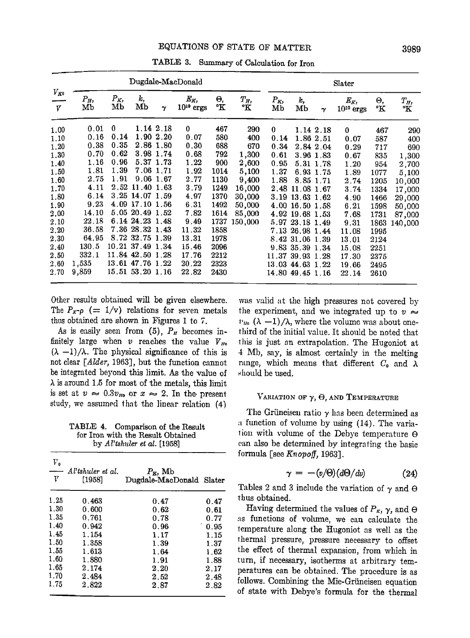|               |                |              | Dugdale-MacDonald                    |                        |                         |              |                  | Slater        |                                      |                        |                           |              |                   |
|---------------|----------------|--------------|--------------------------------------|------------------------|-------------------------|--------------|------------------|---------------|--------------------------------------|------------------------|---------------------------|--------------|-------------------|
| $V_{K0}$<br>V | $P_H$<br>Mb    | $P_K$<br>Mb  | k,<br>Mb                             | $\gamma$               | $E_K$<br>$10^{10}$ ergs | Θ,<br>°Κ     | $T_H$ ,<br>°Κ    | $P_{K}$<br>Mb | k,<br>MЬ                             | γ                      | $E_K$ ,<br>$10^{10}$ ergs | Θ,<br>°Κ     | $T_H$<br>°K       |
| 1.00          | 0.01<br>0.16   | 0<br>0.14    |                                      | 1.14 2.18<br>1.90 2.20 | $\mathbf{0}$<br>0.07    | 467<br>580   | 290              | 0             |                                      | 1.14 2.18              | $\bf{0}$                  | 467          | 290               |
| 1.10<br>1.20  | 0.38           | 0.35         |                                      | 2.86 1.80              | 0.30                    | 688          | 400<br>670       | 0.14<br>0.34  |                                      | 1.86 2.51<br>2.84 2.04 | 0.07<br>0.29              | 587<br>717   | 400<br>690        |
| 1.30<br>1.40  | 0.70<br>1.16   | 0.62<br>0.96 |                                      | 3.98 1.74<br>5.37 1.73 | 0.68<br>1.22            | 792<br>900   | 1,300<br>2,600   | 0.61<br>0.95  |                                      | 3.96 1.83<br>5.31 1.78 | 0.67<br>1.20              | 835<br>954   | 1,300<br>2,700    |
| 1.50<br>1.60  | 1.81<br>2.75   | 1.39<br>1.91 |                                      | 7.06 1.71<br>9.06 1.67 | 1.92<br>2.77            | 1014<br>1130 | 5,100<br>9,400   | 1.37<br>1.88  |                                      | 6.93 1.75<br>8.85 1.71 | 1.89<br>2.74              | 1077<br>1205 | 5,100<br>10,000   |
| 1.70<br>1.80  | 4.11<br>6.14   |              | 2.52 11.40 1.63<br>3.25 14.07 1.59   |                        | 3.79<br>4.97            | 1249<br>1370 | 16,000<br>30,000 | 2.48<br>3.19  | 11.08 1.67<br>13.63 1.62             |                        | 3.74<br>4.90              | 1334<br>1466 | 17,000<br>29,000  |
| 1.90<br>2.00  | 9.23<br>14.10  |              | 4.09 17.10 1.56<br>5.05 20.49 1.52   |                        | 6.31<br>7.82            | 1492<br>1614 | 50,000<br>85,000 | 4.92          | 4.00 16.50 1.58<br>19.68 1.53        |                        | 6.21                      | 1598         | 50,000            |
| 2.10          | 22.18<br>36.58 |              | 6.14 24.23 1.48<br>7.36 28.32 1.43   |                        | 9.49<br>11.32           | 1737         | 150,000          |               | 5.97 23.18 1.49                      |                        | 7.68<br>9.31              | 1731<br>1863 | 87,000<br>140,000 |
| 2.20<br>2.30  | 64.95          |              | 8.72 32.75 1.39                      |                        | 13.31                   | 1858<br>1978 |                  |               | 7.13 26.98 1.44<br>8.42 31.06 1.39   |                        | 11.08<br>13.01            | 1995<br>2124 |                   |
| 2.40<br>2.50  | 130.5<br>332.1 |              | 10.21 37.49 1.34<br>11.84 42.50 1.28 |                        | 15.46<br>17.76          | 2096<br>2212 |                  |               | 9.83 35.39 1.34<br>11.37 39.93 1.28  |                        | 15.08<br>17.30            | 2251<br>2375 |                   |
| 2.60<br>2.70  | 1,535<br>9,859 |              | 13.61 47.76 1.22<br>15.51 53.20 1.16 |                        | 20.22<br>22.82          | 2323<br>2430 |                  |               | 13.03 44.63 1.22<br>14.80 49.45 1.16 |                        | 19.66<br>22.14            | 2495<br>2610 |                   |

**TABLE 3. Summary of Calculation for Iron** 

**Other results obtained will be given elsewhere.**  The  $P_{\kappa}$ - $\rho$  (= 1/v) relations for seven metals **thus obtained are shown in Figures 1 to 7.** 

As is easily seen from  $(5)$ ,  $P<sub>H</sub>$  becomes infinitely large when  $v$  reaches the value  $V_{I0}$  $(\lambda -1)/\lambda$ . The physical significance of this is **not clear [Alder, 1963], but the function cannot be integrated beyond this limit. As the value of X is around !.5 for most of the metals, this limit**  is set at  $v \approx 0.3v_{H_0}$  or  $x \approx 2$ . In the present **study, we assumed that the linear relation (4)** 

**TABLE 4. Comparison of the Result for Iron with the Result Obtained by Al'tshuler et al. [1958]** 

| г,<br>V | Al'tshuler et al.<br>[1958] | $P_{\kappa}$ , Mb<br>Dugdale-MacDonald Slater |      |
|---------|-----------------------------|-----------------------------------------------|------|
| 1.25    | 0.463                       | 0.47                                          | 0.47 |
| 1.30    | 0.600                       | 0.62                                          | 0.61 |
| 1.35    | 0.761                       | 0.78                                          | 0.77 |
| 1.40    | 0.942                       | 0.96                                          | 0.95 |
| 1.45    | 1.154                       | 1.17                                          | 1.15 |
| 1.50    | 1.358                       | 1.39                                          | 1.37 |
| 1.55    | 1.613                       | 1.64                                          | 1.62 |
| 1.60    | 1.880                       | 1.91                                          | 1.88 |
| 1.65    | 2.174                       | 2.20                                          | 2.17 |
| 1.70    | 2.484                       | $2.52\,$                                      | 2.48 |
| 1.75    | 2.822                       | 2.87                                          | 2.82 |

was valid at the high pressures not covered by the experiment, and we integrated up to  $v \approx$  $v_{\mu_0}$  ( $\lambda$  -1)/ $\lambda$ , where the volume was about onethird of the initial value. It should be noted that **•his is just an extrapolation. The Hugoniot at 4 Mb, say, is almost certainly in the melting**  range, which means that different  $C_0$  and  $\lambda$ **should be used.** 

### VARIATION OF  $\gamma$ ,  $\Theta$ , and Temperature

The Grüneisen ratio  $\gamma$  has been determined as **:t timerion of volume by using (14). The varialion with volume of the Debye temperature O can also be determined by integrating' the basic formula. [see Knopoff, 1963].** 

$$
\gamma = -(v/\Theta)(d\Theta/dv) \tag{24}
$$

Tables 2 and 3 include the variation of  $\gamma$  and  $\Theta$ **thus obtained.** 

**Having determined the values of**  $P_{\kappa}$ **,**  $\gamma$ **, and**  $\Theta$ **as functions of volume, we can calculate the •emperature along the Hugoniot as well as the thermal pressure, pressure necessary to offset the effect of thermal expansion, from which in turn, if necessary, isotherms at arbitrary temperatures can be obtained. The procedure is as**  follows. Combining the Mie-Grüneisen equation **of state with Debye's formula for the thermal**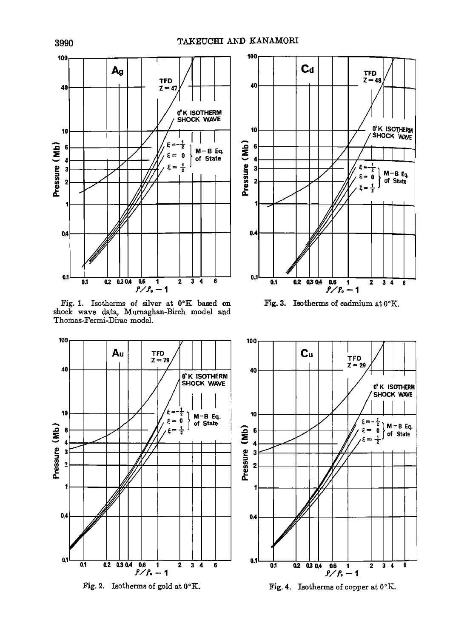

**Fig. 1.** Isotherms of silver shock wave data, Murnaghan-Birch model Thomas-Fermi-Dirac model.







Fig. 3. Isotherms of cadmium at  $0^{\circ}$ K.



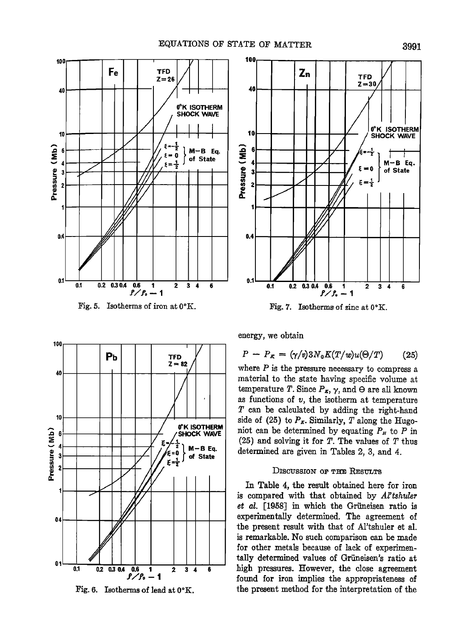

Fig. 5. Isotherms of iron at  $0^{\circ}$ K.



**Fig. ?. Isotherms of zinc at** 



Fig. 6. Isotherms of lead at  $0^{\circ}$ K.

**energy, we obtain** 

$$
P - P_K = (\gamma/v)3N_0K(T/w)u(\Theta/T) \qquad (25)
$$

**where P is the pressure necessary to compress a material to the state having specific volume at temperature T. Since**  $P_{\pi}$ **,**  $\gamma$ **, and**  $\Theta$  **are all known as functions of v, the isotherm at temperature T can be calculated by adding the right-hand**  side of (25) to  $P<sub>K</sub>$ . Similarly, T along the Hugoniot can be determined by equating  $P<sub>H</sub>$  to  $P$  in  $(25)$  and solving it for T. The values of T thus **determined are given in Tables 2, 3, and 4.** 

## **DISCUSSION OF THE RESULTS**

In Table 4, the result obtained here for iron **is compared with that obtained by Al'tshuler**  et al. [1958] in which the Grüneisen ratio is **experimentally determined. The agreement of the present result with that of Al'tshuler et al. is remarkable. No such comparison can be made for other metals because of lack of experimen**tally determined values of Grüneisen's ratio at high pressures. However, the close agreement **found for iron implies the appropriateness of the present method for the interpretation of the**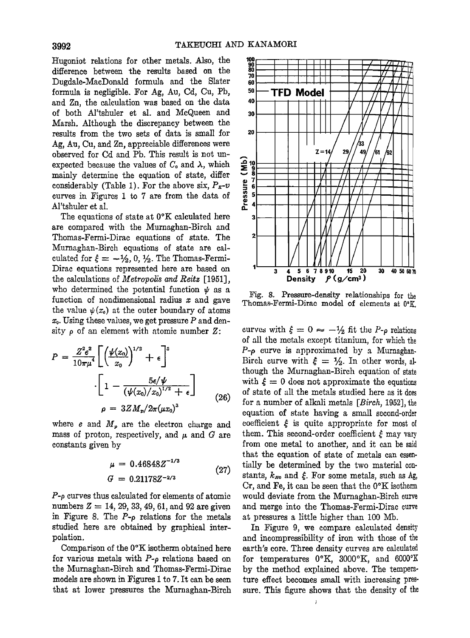Hugoniot relations for other metals. Also, the **difference between the results based on the Dugdale-MacDonald formula and the Slater formula is negligible. For Ag, Au, Cd, Cu, Pb, and Zn, the calculation was based on the data of both Al'tshuler et al. and McQueen and Marsh. Although the discrepancy between the results from the two sets of data is small for Ag, Au, Cu, and Zn, appreciable differences were observed for Cd and Pb. This result is not un**expected because the values of  $C_0$  and  $\lambda$ , which **mainly determine the equation of state, differ**  considerably (Table 1). For the above six,  $P_{\pi}$ -v **curves in Figures ! to 7 are from the data of Al'tshuler et aI.** 

The equations of state at  $0^{\circ}$ K calculated here are compared with the Murnaghan-Birch and **Thomas-Fermi-Dirac equations of state. The**  Murnaghan-Birch equations of state are calculated for  $\xi = -\frac{1}{2}$ , 0,  $\frac{1}{2}$ . The Thomas-Fermi-**Dirac equations represented here are based on the calculations of Metropolis and Reitz [1951],**  who determined the potential function  $\psi$  as a **function of nondimensional radius x and gave**  the value  $\psi(x_0)$  at the outer boundary of atoms **xo. Using these values, we get pressure P and den** $sity \rho$  of an element with atomic number  $Z$ :

$$
P = \frac{Z^2 e^2}{10\pi\mu^4} \left[ \left( \frac{\psi(x_0)}{x_0} \right)^{1/2} + \epsilon \right]^5
$$

$$
\cdot \left[ 1 - \frac{5\epsilon/\psi}{(\psi(x_0)/x_0)^{1/2} + \epsilon} \right]
$$

$$
\rho = 3Z M_p / 2\pi (\mu x_0)^3
$$
(26)

where  $e$  and  $M<sub>p</sub>$  are the electron charge and mass of proton, respectively, and  $\mu$  and  $G$  are **constan{s given by** 

$$
\mu = 0.46848Z^{-1/3}
$$
\n
$$
G = 0.21178Z^{-2/3}
$$
\n(27)

**P-p curves lhus calculated for elements of atomic**  numbers  $Z = 14, 29, 33, 49, 61,$  and  $92$  are given **in Figure 8. The P-p re!aiions for the metals studied here are obtained by graphical**  polation.

Comparison of the 0°K isotherm obtained here **for various metals with P-p relations based on the Murnaghan-Birch and Thomas-Fermi-Dirac**  models are shown in Figures 1 to 7. It can be seen **that at lower pressures the Mumaghan-Birch** 



**Fig. 8. Pressure-density relationships for the**  Thomas-Fermi-Dirac model of elements at 0°K.

curves with  $\xi = 0 \approx -\frac{1}{2}$  fit the P- $\rho$  relations **of all the metals except titanium, for which the**  P- $\rho$  curve is approximated by a Murnaghan-Birch curve with  $\xi = \frac{1}{2}$ . In other words, al**though the Murnaghan-Birch equation of state**  with  $\xi = 0$  does not approximate the equations of state of all the metals studied here as it does for a number of alkali metals [*Birch*, 1952], the equation of state having a small second-order coefficient  $\xi$  is quite appropriate for most of them. This second-order coefficient  $\xi$  may vary **from one metal to another, and it can be said that the equation of state of metals can essendally be determined by the two material con**stants,  $k_{H0}$  and  $\xi$ . For some metals, such as Ag, Cr, and Fe, it can be seen that the 0°K isotherm would deviate from the Murnaghan-Birch curve **and merge into the Thomas-Fermi-Dirac curve at pressures a little higher than 100 Mb.** 

**In Figure 9, we compare calculated density and incompressibility of iron with those of the earth's core. Three density curves are calculated**  for temperatures 0°K, 3000°K, and 6000°K **by the method explained above. The temperature effect becomes small with increasing pressure. This figure shows that the density of the** 

 $\mathbf{I}$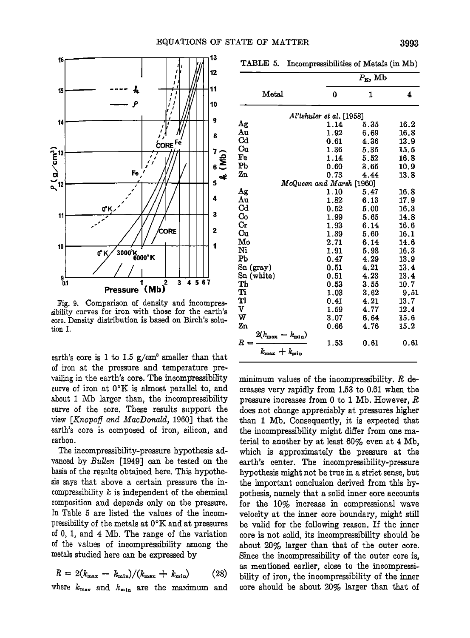

**Fig. 9. Comparison of density and incompressibility curves for iron with those for the earth's core. Density distribution is based on Birch's solution I.** 

earth's core is 1 to 1.5  $g/cm^3$  smaller than that **of iron at the pressure and temperature pre**vailing in the earth's core. The incompressibility curve of iron at  $0^{\circ}K$  is almost parallel to, and **about 1 Mb larger than, the incompressibility curve of the core. These results support the view [Knopoff and MacDonald, 1960] that the earth's core is composed of iron, silicon, and carbon.** 

**The incompressibility-pressure hypothesis advanced by Bullen [1949] can be tested on basis of the results obtained here. This hypothesis says that above a certain pressure the in**compressibility  $k$  is independent of the chemical **composition and depends only on the pressure. In Table 5 are listed the values of the incompressibility of the metals at 0øK and at pressures of 0, 1, and 4 Mb. The range of the variation of the values of ineompressibility among the**  metals studied here can be expressed by

$$
R = 2(k_{\text{max}} - k_{\text{min}})/(k_{\text{max}} + k_{\text{min}}) \qquad (28)
$$

where  $k_{\text{max}}$  and  $k_{\text{min}}$  are the maximum and

**TABLE 5. Incompressibilities of Metals (in Mb)** 

|                                                      |                               | $P_{\rm K}$ , Mb |          |
|------------------------------------------------------|-------------------------------|------------------|----------|
| Metal                                                | 0                             | 1                | 4        |
|                                                      | $Al$ 'tshuler et al. $[1958]$ |                  |          |
| Αg                                                   | 1.14                          | 5.35             | 16.2     |
| Au                                                   | 1.92                          | 6.69             | 16.8     |
| $_{\rm Cd}$                                          | 0.61                          | 4.36             | 13.9     |
| Cu                                                   | 1.36                          | 5.35             | 15.5     |
| Fe                                                   | 1.14                          | 5.52             | 16.8     |
| Pb                                                   | 0.60                          | 3.65             | 10.9     |
| Zn                                                   | 0.73                          | 4.44             | 13.8     |
|                                                      | McQueen and Marsh [1960]      |                  |          |
| Αg                                                   | 1.10                          | 5.47             | 16.8     |
| Au                                                   | 1.82                          | 6.13             | 17.9     |
| $_{\rm Cd}$                                          | 0.52                          | 5.00             | 16.3     |
| $\mathbf{C_0}$                                       | 1.99                          | 5.65             | 14.8     |
| $\rm Cr$                                             | 1.93                          | 6.14             | 16.6     |
| Cu                                                   | 1.39                          | 5.60             | 16.1     |
| Mo                                                   | 2.71                          | 6.14             | 14.6     |
| Ni                                                   | 1.91                          | 5.98             | 16.3     |
| Pb                                                   | 0.47                          | 4.29             | 13.9     |
| Sn (gray)                                            | 0.51                          | 4.21             | 13.4     |
| Sn (white)                                           | 0.51                          | 4.23             | 13.4     |
| Тh                                                   | 0.53                          | 3.55             | 10.7     |
| Ti                                                   | 1.03                          | 3.62             | 9.51     |
| Tl                                                   | 0.41                          | 4.21             | $13.7\,$ |
| v                                                    | 1.59                          | 4.77             | 12.4     |
| w                                                    | 3.07                          | 6.64             | 15.6     |
| Zn                                                   | 0.66                          | 4.76             | 15.2     |
|                                                      |                               |                  |          |
| $\frac{2(k_{\max} - k_{\min})}{\sum_{\min}$<br>$R =$ | 1.53                          | 0.61             | 0.61     |
| $k_{\max} + k_{\min}$                                |                               |                  |          |

**minimum values of the ineompressibility. R deereases very rapidly from 1.53 to 0.61 when the pressure increases from 0 to 1 Mb. However, R does not change appreciably at pressures higher**  than 1 Mb. Consequently, it is expected that **the ineompressibility might differ from one material to another by at least 60% even at 4 Mb,**  which is approximately the pressure at the **earth's center. The ineompressibility-pressure hypothesis might not be true in a strict sense, but**  the important conclusion derived from this hy**pothesis, namely that a solid inner core accounts for the 10% increase in compressional wave velocity at the inner core boundary, might still be valid for the following reason. If the inner core is not solid, its ineompressibility should be about 20% larger than that of the outer core. Since the ineompressibility of the outer core is, as mentioned earlier, close to the ineompressi**bility of iron, the incompressibility of the inner **core should be about 20% larger than that of**